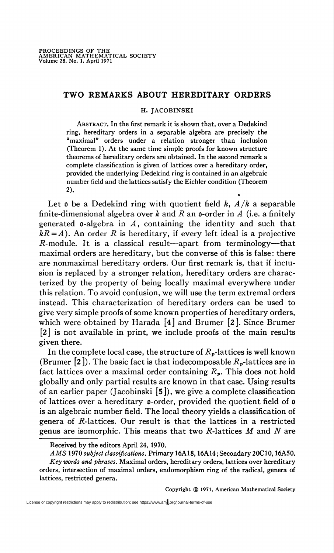# TWO REMARKS ABOUT HEREDITARY ORDERS

### H. JACOBINSKI

Abstract. In the first remark it is shown that, over a Dedekind ring, hereditary orders in a separable algebra are precisely the "maximal" orders under a relation stronger than inclusion (Theorem 1). At the same time simple proofs for known structure theorems of hereditary orders are obtained. In the second remark a complete classification is given of lattices over a hereditary order, provided the underlying Dedekind ring is contained in an algebraic number field and the lattices satisfy the Eichler condition (Theorem 2). •

Let  $\mathfrak o$  be a Dedekind ring with quotient field k,  $A/k$  a separable finite-dimensional algebra over k and R an  $\phi$ -order in A (i.e. a finitely generated  $\theta$ -algebra in A, containing the identity and such that  $kR = A$ ). An order R is hereditary, if every left ideal is a projective  $R$ -module. It is a classical result—apart from terminology—that maximal orders are hereditary, but the converse of this is false: there are nonmaximal hereditary orders. Our first remark is, that if inclusion is replaced by a stronger relation, hereditary orders are characterized by the property of being locally maximal everywhere under this relation. To avoid confusion, we will use the term extremal orders instead. This characterization of hereditary orders can be used to give very simple proofs of some known properties of hereditary orders, which were obtained by Harada [4] and Brumer [2]. Since Brumer [2] is not available in print, we include proofs of the main results given there.

In the complete local case, the structure of  $R_p$ -lattices is well known (Brumer [2]). The basic fact is that indecomposable  $R_p$ -lattices are in fact lattices over a maximal order containing  $R_p$ . This does not hold globally and only partial results are known in that case. Using results of an earlier paper (Jacobinski [5]), we give a complete classification of lattices over a hereditary o-order, provided the quotient field of 0 is an algebraic number field. The local theory yields a classification of genera of  $$ genus are isomorphic. This means that two  $R$ -lattices  $M$  and  $N$  are

Copyright © 1971, American Mathematical Society

Received by the editors April 24, 1970.

AMS 1970 subject classifications. Primary 16A18, 16A14; Secondary 20C10, 16A50.

Key words and phrases. Maximal orders, hereditary orders, lattices over hereditary orders, intersection of maximal orders, endomorphism ring of the radical, genera of lattices, restricted genera.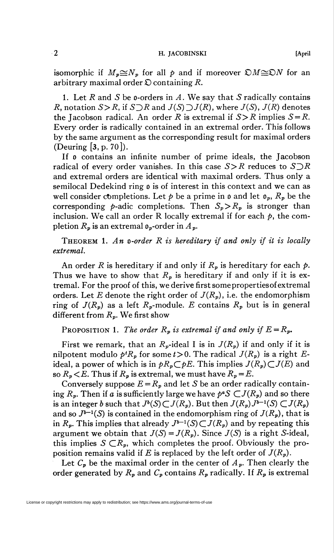## 2 H. JACOBINSKI [April

isomorphic if  $M_p \cong N_p$  for all p and if moreover  $\mathfrak{D}M \cong \mathfrak{D}N$  for an arbitrary maximal order  $\mathcal D$  containing R.

1. Let R and S be o-orders in A. We say that S radically contains R, notation  $S > R$ , if  $S \supset R$  and  $J(S) \supset J(R)$ , where  $J(S)$ ,  $J(R)$  denotes the Jacobson radical. An order R is extremal if  $S > R$  implies  $S = R$ . Every order is radically contained in an extremal order. This follows by the same argument as the corresponding result for maximal orders (Deuring [3, p. 70]).

If 0 contains an infinite number of prime ideals, the Jacobson radical of every order vanishes. In this case  $S > R$  reduces to  $S \supset R$ and extremal orders are identical with maximal orders. Thus only a semilocal Dedekind ring o is of interest in this context and we can as well consider completions. Let  $p$  be a prime in  $\mathfrak o$  and let  $\mathfrak o_p$ ,  $R_p$  be the corresponding p-adic completions. Then  $S_p > R_p$  is stronger than inclusion. We call an order R locally extremal if for each  $p$ , the completion  $R_p$  is an extremal  $\mathfrak{d}_p$ -order in  $A_p$ .

THEOREM 1. An o-order  $R$  is hereditary if and only if it is locally extremal.

An order R is hereditary if and only if  $R_p$  is hereditary for each  $p$ . Thus we have to show that  $R_p$  is hereditary if and only if it is extremal. For the proof of this, we derive first some properties of extremal orders. Let E denote the right order of  $J(R_p)$ , i.e. the endomorphism ring of  $J(R_p)$  as a left  $R_p$ -module. E contains  $R_p$  but is in general different from  $R_p$ . We first show

PROPOSITION 1. The order  $R_p$  is extremal if and only if  $E = R_p$ .

First we remark, that an  $R_p$ -ideal I is in  $J(R_p)$  if and only if it is nilpotent modulo  $p^t R_p$  for some  $t > 0$ . The radical  $J(R_p)$  is a right Eideal, a power of which is in  $pR_p\subset pE$ . This implies  $J(R_p)\subset J(E)$  and so  $R_p < E$ . Thus if  $R_p$  is extremal, we must have  $R_p = E$ .

Conversely suppose  $E=R_p$  and let S be an order radically containing  $R_p$ . Then if a is sufficiently large we have  $p^eS \subset J(R_p)$  and so there is an integer b such that  $J^b(S) \subset J(R_p)$ . But then  $J(R_p)J^{b-1}(S) \subset J(R_p)$ and so  $J^{b-1}(S)$  is contained in the endomorphism ring of  $J(R_p)$ , that is in  $R_p$ . This implies that already  $J^{b-1}(S) \subset J(R_p)$  and by repeating this argument we obtain that  $J(S) = J(R_p)$ . Since  $J(S)$  is a right S-ideal, this implies  $S \subset \mathbb{R}_p$ , which completes the proof. Obviously the proposition remains valid if E is replaced by the left order of  $J(R_p)$ .

Let  $C_p$  be the maximal order in the center of  $A_p$ . Then clearly the order generated by  $R_p$  and  $C_p$  contains  $R_p$  radically. If  $R_p$  is extremal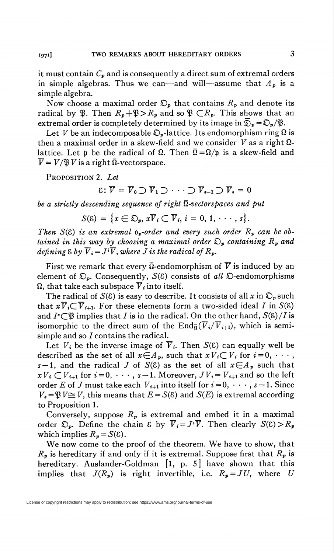it must contain  $C_p$  and is consequently a direct sum of extremal orders in simple algebras. Thus we can—and will—assume that  $A_p$  is a simple algebra.

Now choose a maximal order  $\mathfrak{D}_p$  that contains  $R_p$  and denote its radical by  $\mathfrak{P}$ . Then  $R_p + \mathfrak{P} > R_p$  and so  $\mathfrak{P} \subset R_p$ . This shows that an extremal order is completely determined by its image in  $\overline{D}_p = \mathfrak{D}_p / \mathfrak{P}$ .

Let V be an indecomposable  $\mathfrak{D}_p$ -lattice. Its endomorphism ring  $\Omega$  is then a maximal order in a skew-field and we consider  $V$  as a right  $\Omega$ lattice. Let p be the radical of  $\Omega$ . Then  $\overline{\Omega} = \Omega/\rho$  is a skew-field and  $\overline{V} = V/\mathfrak{B} V$  is a right  $\overline{\Omega}$ -vectorspace.

PROPOSITION 2. Let

$$
\varepsilon\colon\overline{V}=\overline{V}_0\supset\overline{V}_1\supset\cdots\supset\overline{V}_{s-1}\supset\overline{V}_s=0
$$

be a strictly descending sequence of right  $\bar{\Omega}$ -vectorspaces and put

$$
S(\mathcal{E}) = \{x \in \mathfrak{D}_{p}, x\overline{V}_{i} \subset \overline{V}_{i}, i = 0, 1, \cdots, s\}.
$$

Then  $S(\xi)$  is an extremal  $\mathfrak{d}_p$ -order and every such order  $R_p$  can be obtained in this way by choosing a maximal order  $\mathcal{D}_p$  containing  $R_p$  and defining  $\&b y \ \overline{V}_i = J^i \overline{V}$ , where *J* is the radical of  $R_p$ .

First we remark that every  $\overline{\Omega}$ -endomorphism of  $\overline{V}$  is induced by an element of  $\mathfrak{D}_p$ . Consequently,  $S(\varepsilon)$  consists of all  $\mathfrak{D}$ -endomorphisms  $\Omega$ , that take each subspace  $\overline{V}_i$  into itself.

The radical of  $S(\xi)$  is easy to describe. It consists of all x in  $\mathcal{D}_n$  such that  $x\overline{V}_i \subset \overline{V}_{i+1}$ . For these elements form a two-sided ideal I in  $S(\xi)$ and  $I^{\circ} \subset \mathfrak{B}$  implies that I is in the radical. On the other hand,  $S(\mathcal{E})/I$  is isomorphic to the direct sum of the  $\text{End}_{\overline{\Omega}}(\overline{V}_i/\overline{V}_{i+1}),$  which is semisimple and so  $I$  contains the radical.

Let  $V_i$  be the inverse image of  $\overline{V}_i$ . Then  $S(\xi)$  can equally well be described as the set of all  $x \in A_p$ , such that  $xV_i \subset V_i$  for  $i=0, \cdots$ , s-1, and the radical J of  $S(8)$  as the set of all  $x \in A_p$  such that  $xV_i \subset V_{i+1}$  for  $i=0, \cdots, s-1$ . Moreover,  $JV_i = V_{i+1}$  and so the left order E of J must take each  $V_{i+1}$  into itself for  $i=0, \dots, s-1$ . Since  $V_{\bullet} = \mathfrak{P} V \cong V$ , this means that  $E = S(\mathcal{E})$  and  $S(E)$  is extremal according to Proposition 1.

Conversely, suppose  $R_p$  is extremal and embed it in a maximal order  $\mathfrak{D}_v$ . Define the chain & by  $\overline{V}_i = J^i \overline{V}$ . Then clearly  $S(\xi) > R_p$ which implies  $R_p = S(\xi)$ .

We now come to the proof of the theorem. We have to show, that  $R_p$  is hereditary if and only if it is extremal. Suppose first that  $R_p$  is hereditary. Auslander-Goldman [1, p. 5] have shown that this implies that  $J(R_p)$  is right invertible, i.e.  $R_p = JU$ , where U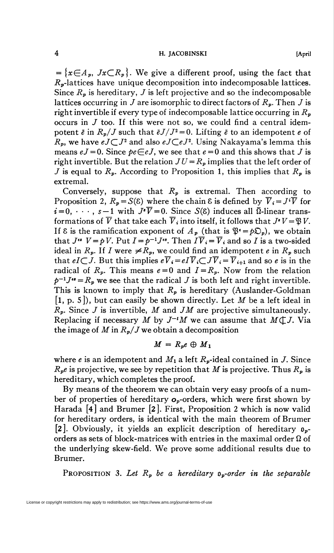## 4 H. JACOBINSKI [April

 $=\{x\in A_p, Jx\subset R_p\}$ . We give a different proof, using the fact that  $R_p$ -lattices have unique decomposition into indecomposable lattices. Since  $R_p$  is hereditary, J is left projective and so the indecomposable lattices occurring in J are isomorphic to direct factors of  $R_p$ . Then J is right invertible if every type of indecomposable lattice occurring in  $R_p$ occurs in  $J$  too. If this were not so, we could find a central idempotent  $\bar{e}$  in  $R_p/J$  such that  $\bar{e}J/J^2=0$ . Lifting  $\bar{e}$  to an idempotent  $e$  of  $R_p$ , we have  $eJ\subset J^2$  and also  $eJ\subset eJ^2$ . Using Nakayama's lemma this means  $eJ = 0$ . Since  $pe \in eJ$ , we see that  $e = 0$  and this shows that J is right invertible. But the relation  $JU = R_p$  implies that the left order of J is equal to  $R_p$ . According to Proposition 1, this implies that  $R_p$  is extremal.

Conversely, suppose that  $R_p$  is extremal. Then according to Proposition 2,  $R_p = S(8)$  where the chain 8 is defined by  $\overline{V}_i = J^i \overline{V}$  for  $i=0, \dots, s-1$  with  $J^*\overline{V}=0$ . Since  $S(8)$  induces all  $\overline{0}$ -linear transformations of  $\overline{V}$  that take each  $\overline{V}_i$  into itself, it follows that  $J^*V = \mathfrak{P} V$ . If 8 is the ramification exponent of  $A_p$  (that is  $\mathfrak{P}^* = p\mathfrak{D}_p$ ), we obtain that  $J^{ss}$   $V = \rho V$ . Put  $I = \rho^{-1} J^{ss}$ . Then  $I \overline{V}_i = \overline{V}_i$  and so I is a two-sided ideal in  $R_p$ . If I were  $\neq R_p$ , we could find an idempotent e in  $R_p$  such that  $eI\subset J$ . But this implies  $e\overline{V}_i = eI\overline{V}_i\subset J\overline{V}_i = \overline{V}_{i+1}$  and so e is in the radical of  $R_p$ . This means  $e=0$  and  $I=R_p$ . Now from the relation  $p^{-1}J^{\prime\prime}=R_p$  we see that the radical J is both left and right invertible. This is known to imply that  $R_p$  is hereditary (Auslander-Goldman  $[1, p. 5]$ , but can easily be shown directly. Let M be a left ideal in  $R_p$ . Since J is invertible, M and JM are projective simultaneously. Replacing if necessary M by  $J^{-t}M$  we can assume that  $M(\mathcal{L}J)$ . Via the image of M in  $R_p/J$  we obtain a decomposition

$$
M = R_p e \oplus M_1
$$

where e is an idempotent and  $M_1$  a left  $R_p$ -ideal contained in J. Since  $R_{p}e$  is projective, we see by repetition that M is projective. Thus  $R_{p}$  is hereditary, which completes the proof.

By means of the theorem we can obtain very easy proofs of a number of properties of hereditary  $o_p$ -orders, which were first shown by Harada [4] and Brumer [2]. First, Proposition 2 which is now valid for hereditary orders, is identical with the main theorem of Brumer [2]. Obviously, it yields an explicit description of hereditary  $\mathfrak{v}_{n}$ orders as sets of block-matrices with entries in the maximal order  $\Omega$  of the underlying skew-field. We prove some additional results due to Brumer.

PROPOSITION 3. Let  $R_p$  be a hereditary  $\rho_p$ -order in the separable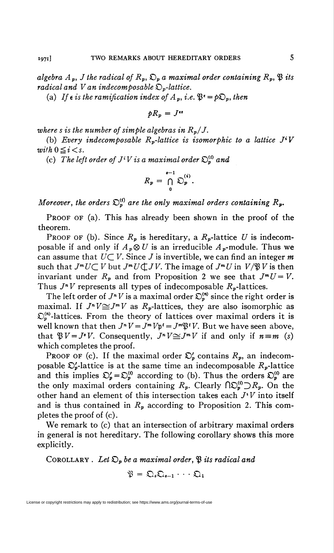algebra  $A_p$ , J the radical of  $R_p$ ,  $\mathfrak{D}_p$  a maximal order containing  $R_p$ ,  $\mathfrak{P}$  its radical and V an indecomposable  $\mathfrak{D}_{p}$ -lattice.

(a) If  $\epsilon$  is the ramification index of  $A_p$ , i.e.  $\mathfrak{B}^{\epsilon} = p\mathfrak{D}_p$ , then

$$
pR_p = J^{ss}
$$

where s is the number of simple algebras in  $R_p/J$ .

(b) Every indecomposable  $R_p$ -lattice is isomorphic to a lattice  $J^iV$ with  $0 \leq i < s$ .

(c) The left order of  $J^iV$  is a maximal order  $\mathfrak{D}_n^{(i)}$  and

$$
R_p = \bigcap_{0}^{s-1} \mathfrak{O}_p^{(i)}.
$$

Moreover, the orders  $\mathcal{D}_p^{(i)}$  are the only maximal orders containing  $R_p$ .

PROOF OF (a). This has already been shown in the proof of the theorem.

PROOF OF (b). Since  $R_p$  is hereditary, a  $R_p$ -lattice U is indecomposable if and only if  $A_p \otimes U$  is an irreducible  $A_p$ -module. Thus we can assume that  $U\subset V$ . Since J is invertible, we can find an integer m such that  $J^mU\subset V$  but  $J^mU\subset JV$ . The image of  $J^mU$  in  $V/\mathfrak{B} V$  is then invariant under  $R_p$  and from Proposition 2 we see that  $J^mU=V$ . Thus  $J^N V$  represents all types of indecomposable  $R_p$ -lattices.

The left order of  $J^n V$  is a maximal order  $\mathfrak{D}_p^{(n)}$  since the right order is maximal. If  $J^N V \cong J^m V$  as  $R_p$ -lattices, they are also isomorphic as  $\mathfrak{D}_{n}^{(n)}$ -lattices. From the theory of lattices over maximal orders it is well known that then  $J^n V = J^m V p^t = J^m \mathfrak{P}^t V$ . But we have seen above, that  $\mathfrak{B}V = J^*V$ . Consequently,  $J^*V \cong J^*V$  if and only if  $n = m$  (s) which completes the proof.

PROOF OF (c). If the maximal order  $\mathcal{D}'_p$  contains  $R_p$ , an indecomposable  $\mathcal{D}'_p$ -lattice is at the same time an indecomposable  $R_p$ -lattice and this implies  $\mathfrak{O}_p'=\mathfrak{O}_p^{(0)}$  according to (b). Thus the orders  $\mathfrak{O}_p^{(0)}$  are the only maximal orders containing  $R_p$ . Clearly  $\bigcap_{p=0}^{\infty} \mathcal{D}_p$ . On the other hand an element of this intersection takes each  $J<sup>i</sup>V$  into itself and is thus contained in  $R_p$  according to Proposition 2. This completes the proof of (c).

We remark to (c) that an intersection of arbitrary maximal orders in general is not hereditary. The following corollary shows this more explicitly.

COROLLARY . Let  $\mathfrak{O}_p$  be a maximal order,  $\mathfrak B$  its radical and

$$
\mathfrak{P}=\mathfrak{Q}_s\mathfrak{Q}_{s+1}\cdot\cdot\cdot\mathfrak{Q}_1
$$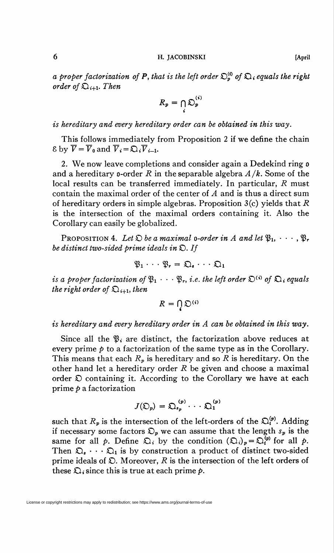6 H. JACOBINSKI [April

a proper factorization of P, that is the left order  $\mathcal{D}_n^{(i)}$  of  $\mathcal{D}_i$ , equals the right order of  $\mathfrak{Q}_{i+1}$ . Then

$$
R_p = \bigcap_i \mathfrak{O}_p^{(i)}
$$

# is hereditary and every hereditary order can be obtained in this way.

This follows immediately from Proposition 2 if we define the chain  $\&$  by  $\overline{V} = \overline{V}_0$  and  $\overline{V}_i = \mathfrak{Q}_i \overline{V}_{i-1}$ .

2. We now leave completions and consider again a Dedekind ring o and a hereditary o-order R in the separable algebra  $A/k$ . Some of the local results can be transferred immediately. In particular, R must contain the maximal order of the center of A and is thus a direct sum of hereditary orders in simple algebras. Proposition  $3(c)$  yields that R is the intersection of the maximal orders containing it. Also the Corollary can easily be globalized.

PROPOSITION 4. Let  $\mathfrak D$  be a maximal o-order in A and let  $\mathfrak{B}_1, \cdots, \mathfrak{B}_r$ be distinct two-sided prime ideals in  $\mathfrak{D}$ . If

$$
\mathfrak{P}_1 \cdot \cdot \cdot \mathfrak{P}_r = \mathfrak{Q}_s \cdot \cdot \cdot \mathfrak{Q}_1
$$

is a proper factorization of  $\mathfrak{B}_1 \cdot \cdot \cdot \mathfrak{B}_r$ , i.e. the left order  $\mathfrak{D}^{(i)}$  of  $\mathfrak{D}_i$  equals the right order of  $\mathfrak{Q}_{i+1}$ , then

$$
R=\bigcap_{i}\mathfrak{O}^{(i)}
$$

is hereditary and every hereditary order in A can be obtained in this way.

Since all the  $\mathfrak{B}_i$  are distinct, the factorization above reduces at every prime  $\dot{p}$  to a factorization of the same type as in the Corollary. This means that each  $R_p$  is hereditary and so R is hereditary. On the other hand let a hereditary order  $R$  be given and choose a maximal order  $\mathfrak D$  containing it. According to the Corollary we have at each prime  $p$  a factorization

$$
J(\mathfrak{O}_p) = \mathfrak{O}_{s_p}^{(p)} \cdot \cdot \cdot \mathfrak{O}_1^{(p)}
$$

such that  $R_p$  is the intersection of the left-orders of the  $\mathfrak{D}_i^{(p)}$ . Adding if necessary some factors  $\mathfrak{O}_p$  we can assume that the length  $s_p$  is the same for all  $\hat{p}$ . Define  $\hat{Q}_i$  by the condition  $(\hat{Q}_i)_p = \hat{Q}_i^{(p)}$  for all  $\hat{p}$ . Then  $\mathfrak{Q}_s \cdots \mathfrak{Q}_1$  is by construction a product of distinct two-sided prime ideals of  $\mathfrak{D}$ . Moreover, R is the intersection of the left orders of these  $\mathfrak{Q}_i$  since this is true at each prime  $p$ .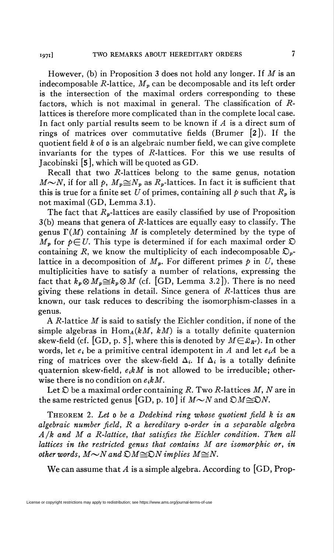I97i] TWO REMARKS ABOUT HEREDITARY ORDERS 7

However, (b) in Proposition 3 does not hold any longer. If  $M$  is an indecomposable R-lattice,  $M_p$  can be decomposable and its left order is the intersection of the maximal orders corresponding to these factors, which is not maximal in general. The classification of Rlattices is therefore more complicated than in the complete local case. In fact only partial results seem to be known if  $A$  is a direct sum of rings of matrices over commutative fields (Brumer [2]). If the quotient field  $k$  of  $\mathfrak o$  is an algebraic number field, we can give complete invariants for the types of  $R$ -lattices. For this we use results of Jacobinski [5], which will be quoted asGD.

Recall that two  $R$ -lattices belong to the same genus, notation  $M \sim N$ , if for all p,  $M_p \cong N_p$  as  $R_p$ -lattices. In fact it is sufficient that this is true for a finite set U of primes, containing all  $\phi$  such that  $R_p$  is not maximal (GD, Lemma 3.1).

The fact that  $R_p$ -lattices are easily classified by use of Proposition  $3(b)$  means that genera of R-lattices are equally easy to classify. The genus  $\Gamma(M)$  containing M is completely determined by the type of  $M_p$  for  $p \in U$ . This type is determined if for each maximal order  $\mathfrak D$ containing R, we know the multiplicity of each indecomposable  $\mathcal{D}_{p}$ lattice in a decomposition of  $M_n$ . For different primes p in U, these multiplicities have to satisfy a number of relations, expressing the fact that  $k_p \otimes M_p \cong k_p \otimes M$  (cf. [GD, Lemma 3.2]). There is no need giving these relations in detail. Since genera of  $R$ -lattices thus are known, our task reduces to describing the isomorphism-classes in a genus.

A R-lattice  $M$  is said to satisfy the Eichler condition, if none of the simple algebras in  $\text{Hom}_{A}(kM, kM)$  is a totally definite quaternion skew-field (cf. [GD, p. 5], where this is denoted by  $M \in \mathcal{L}_{R'}$ ). In other words, let  $e_i$  be a primitive central idempotent in A and let  $e_iA$  be a ring of matrices over the skew-field  $\Delta_i$ . If  $\Delta_i$  is a totally definite quaternion skew-field,  $e_i kM$  is not allowed to be irreducible; otherwise there is no condition on  $e_i kM$ .

Let  $\mathfrak D$  be a maximal order containing R. Two R-lattices M, N are in the same restricted genus [GD, p. 10] if  $M \sim N$  and  $\mathfrak{D}M \cong \mathfrak{D}N$ .

THEOREM 2. Let a be a Dedekind ring whose quotient field k is an algebraic number field, R a hereditary o-order in a separable algebra  $A/k$  and M a R-lattice, that satisfies the Eichler condition. Then all lattices in the restricted genus that contains M are isomorphic or, in other words,  $M \sim N$  and  $\mathcal{D}M \cong \mathcal{D}N$  implies  $M \cong N$ .

We can assume that A is a simple algebra. According to  $[GD, Prop-$